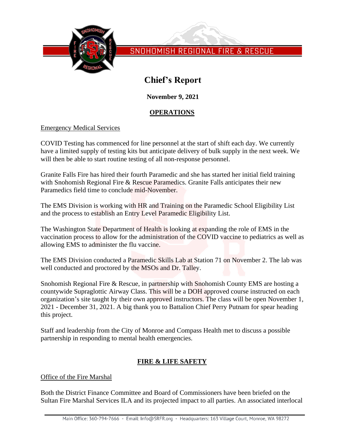

SNOHOMISH REGIONAL FIRE & RESCUE

# **Chief's Report**

**November 9, 2021**

### **OPERATIONS**

### Emergency Medical Services

COVID Testing has commenced for line personnel at the start of shift each day. We currently have a limited supply of testing kits but anticipate delivery of bulk supply in the next week. We will then be able to start routine testing of all non-response personnel.

Granite Falls Fire has hired their fourth Paramedic and she has started her initial field training with Snohomish Regional Fire & Rescue Paramedics. Granite Falls anticipates their new Paramedics field time to conclude mid-November.

The EMS Division is working with HR and Training on the Paramedic School Eligibility List and the process to establish an Entry Level Paramedic Eligibility List.

The Washington State Department of Health is looking at expanding the role of EMS in the vaccination process to allow for the administration of the COVID vaccine to pediatrics as well as allowing EMS to administer the flu vaccine.

The EMS Division conducted a Paramedic Skills Lab at Station 71 on November 2. The lab was well conducted and proctored by the MSOs and Dr. Talley.

Snohomish Regional Fire & Rescue, in partnership with Snohomish County EMS are hosting a countywide Supraglottic Airway Class. This will be a DOH approved course instructed on each organization's site taught by their own approved instructors. The class will be open November 1, 2021 - December 31, 2021. A big thank you to Battalion Chief Perry Putnam for spear heading this project.

Staff and leadership from the City of Monroe and Compass Health met to discuss a possible partnership in responding to mental health emergencies.

## **FIRE & LIFE SAFETY**

### Office of the Fire Marshal

Both the District Finance Committee and Board of Commissioners have been briefed on the Sultan Fire Marshal Services ILA and its projected impact to all parties. An associated interlocal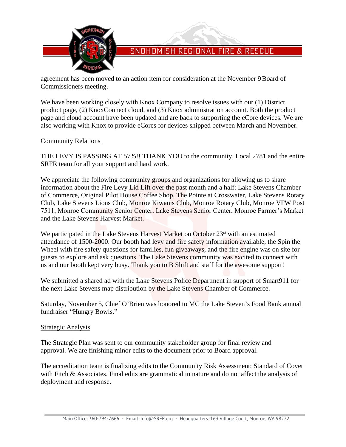

# SNOHOMISH REGIONAL FIRE & RESCUE

agreement has been moved to an action item for consideration at the November 9Board of Commissioners meeting.

We have been working closely with Knox Company to resolve issues with our  $(1)$  District product page, (2) KnoxConnect cloud, and (3) Knox administration account. Both the product page and cloud account have been updated and are back to supporting the eCore devices. We are also working with Knox to provide eCores for devices shipped between March and November.

### Community Relations

THE LEVY IS PASSING AT 57%!! THANK YOU to the community, Local 2781 and the entire SRFR team for all your support and hard work.

We appreciate the following community groups and organizations for allowing us to share information about the Fire Levy Lid Lift over the past month and a half: Lake Stevens Chamber of Commerce, Original Pilot House Coffee Shop, The Pointe at Crosswater, Lake Stevens Rotary Club, Lake Stevens Lions Club, Monroe Kiwanis Club, Monroe Rotary Club, Monroe VFW Post 7511, Monroe Community Senior Center, Lake Stevens Senior Center, Monroe Farmer's Market and the Lake Stevens Harvest Market.

We participated in the Lake Stevens Harvest Market on October  $23<sup>rd</sup>$  with an estimated attendance of 1500-2000. Our booth had levy and fire safety information available, the Spin the Wheel with fire safety questions for families, fun giveaways, and the fire engine was on site for guests to explore and ask questions. The Lake Stevens community was excited to connect with us and our booth kept very busy. Thank you to B Shift and staff for the awesome support!

We submitted a shared ad with the Lake Stevens Police Department in support of Smart911 for the next Lake Stevens map distribution by the Lake Stevens Chamber of Commerce.

Saturday, November 5, Chief O'Brien was honored to MC the Lake Steven's Food Bank annual fundraiser "Hungry Bowls."

### **Strategic Analysis**

The Strategic Plan was sent to our community stakeholder group for final review and approval. We are finishing minor edits to the document prior to Board approval.

The accreditation team is finalizing edits to the Community Risk Assessment: Standard of Cover with Fitch & Associates. Final edits are grammatical in nature and do not affect the analysis of deployment and response.